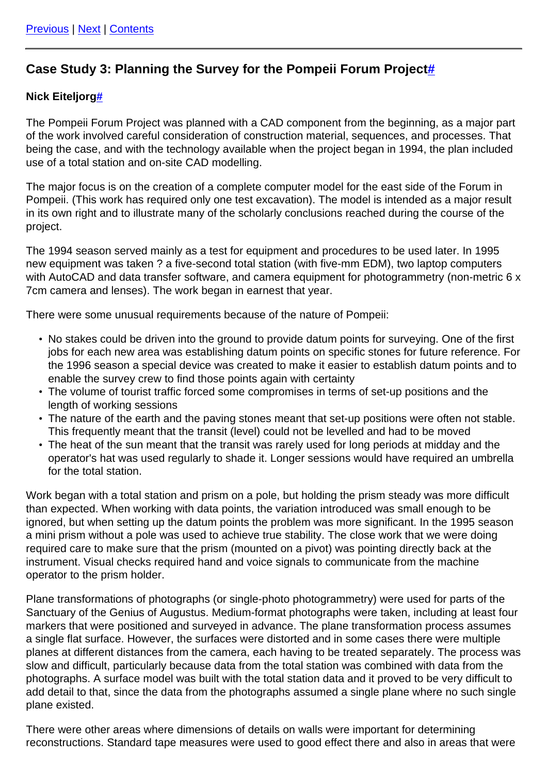## **Case Study 3: Planning the Survey for the Pompeii Forum Projec[t#](https://guides.archaeologydataservice.ac.uk:443/#section-Cad_Cs3-CaseStudy3PlanningTheSurveyForThePompeiiForumProject)**

## **Nick Eiteljor[g#](https://guides.archaeologydataservice.ac.uk:443/#section-Cad_Cs3-NickEiteljorg)**

The Pompeii Forum Project was planned with a CAD component from the beginning, as a major part of the work involved careful consideration of construction material, sequences, and processes. That being the case, and with the technology available when the project began in 1994, the plan included use of a total station and on-site CAD modelling.

The major focus is on the creation of a complete computer model for the east side of the Forum in Pompeii. (This work has required only one test excavation). The model is intended as a major result in its own right and to illustrate many of the scholarly conclusions reached during the course of the project.

The 1994 season served mainly as a test for equipment and procedures to be used later. In 1995 new equipment was taken ? a five-second total station (with five-mm EDM), two laptop computers with AutoCAD and data transfer software, and camera equipment for photogrammetry (non-metric 6 x 7cm camera and lenses). The work began in earnest that year.

There were some unusual requirements because of the nature of Pompeii:

- No stakes could be driven into the ground to provide datum points for surveying. One of the first jobs for each new area was establishing datum points on specific stones for future reference. For the 1996 season a special device was created to make it easier to establish datum points and to enable the survey crew to find those points again with certainty
- The volume of tourist traffic forced some compromises in terms of set-up positions and the length of working sessions
- The nature of the earth and the paving stones meant that set-up positions were often not stable. This frequently meant that the transit (level) could not be levelled and had to be moved
- The heat of the sun meant that the transit was rarely used for long periods at midday and the operator's hat was used regularly to shade it. Longer sessions would have required an umbrella for the total station.

Work began with a total station and prism on a pole, but holding the prism steady was more difficult than expected. When working with data points, the variation introduced was small enough to be ignored, but when setting up the datum points the problem was more significant. In the 1995 season a mini prism without a pole was used to achieve true stability. The close work that we were doing required care to make sure that the prism (mounted on a pivot) was pointing directly back at the instrument. Visual checks required hand and voice signals to communicate from the machine operator to the prism holder.

Plane transformations of photographs (or single-photo photogrammetry) were used for parts of the Sanctuary of the Genius of Augustus. Medium-format photographs were taken, including at least four markers that were positioned and surveyed in advance. The plane transformation process assumes a single flat surface. However, the surfaces were distorted and in some cases there were multiple planes at different distances from the camera, each having to be treated separately. The process was slow and difficult, particularly because data from the total station was combined with data from the photographs. A surface model was built with the total station data and it proved to be very difficult to add detail to that, since the data from the photographs assumed a single plane where no such single plane existed.

There were other areas where dimensions of details on walls were important for determining reconstructions. Standard tape measures were used to good effect there and also in areas that were